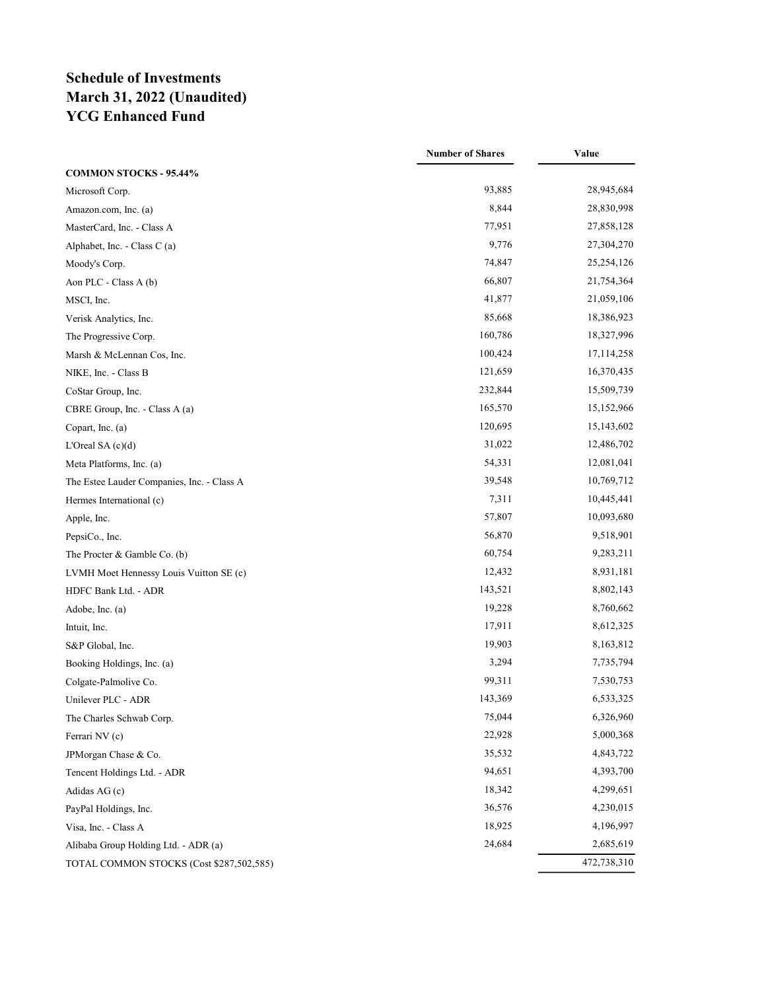## Schedule of Investments March 31, 2022 (Unaudited) YCG Enhanced Fund

|                                            | <b>Number of Shares</b> | Value        |
|--------------------------------------------|-------------------------|--------------|
| <b>COMMON STOCKS - 95.44%</b>              |                         |              |
| Microsoft Corp.                            | 93,885                  | 28,945,684   |
| Amazon.com, Inc. (a)                       | 8,844                   | 28,830,998   |
| MasterCard, Inc. - Class A                 | 77,951                  | 27,858,128   |
| Alphabet, Inc. - Class C (a)               | 9,776                   | 27,304,270   |
| Moody's Corp.                              | 74,847                  | 25,254,126   |
| Aon PLC - Class A (b)                      | 66,807                  | 21,754,364   |
| MSCI, Inc.                                 | 41,877                  | 21,059,106   |
| Verisk Analytics, Inc.                     | 85,668                  | 18,386,923   |
| The Progressive Corp.                      | 160,786                 | 18,327,996   |
| Marsh & McLennan Cos, Inc.                 | 100,424                 | 17, 114, 258 |
| NIKE, Inc. - Class B                       | 121,659                 | 16,370,435   |
| CoStar Group, Inc.                         | 232,844                 | 15,509,739   |
| CBRE Group, Inc. - Class A (a)             | 165,570                 | 15,152,966   |
| Copart, Inc. (a)                           | 120,695                 | 15,143,602   |
| L'Oreal SA $(c)(d)$                        | 31,022                  | 12,486,702   |
| Meta Platforms, Inc. (a)                   | 54,331                  | 12,081,041   |
| The Estee Lauder Companies, Inc. - Class A | 39,548                  | 10,769,712   |
| Hermes International (c)                   | 7,311                   | 10,445,441   |
| Apple, Inc.                                | 57,807                  | 10,093,680   |
| PepsiCo., Inc.                             | 56,870                  | 9,518,901    |
| The Procter & Gamble Co. (b)               | 60,754                  | 9,283,211    |
| LVMH Moet Hennessy Louis Vuitton SE (c)    | 12,432                  | 8,931,181    |
| HDFC Bank Ltd. - ADR                       | 143,521                 | 8,802,143    |
| Adobe, Inc. (a)                            | 19,228                  | 8,760,662    |
| Intuit, Inc.                               | 17,911                  | 8,612,325    |
| S&P Global, Inc.                           | 19,903                  | 8,163,812    |
| Booking Holdings, Inc. (a)                 | 3,294                   | 7,735,794    |
| Colgate-Palmolive Co.                      | 99,311                  | 7,530,753    |
| Unilever PLC - ADR                         | 143,369                 | 6,533,325    |
| The Charles Schwab Corp.                   | 75,044                  | 6,326,960    |
| Ferrari NV (c)                             | 22,928                  | 5,000,368    |
| JPMorgan Chase & Co.                       | 35,532                  | 4,843,722    |
| Tencent Holdings Ltd. - ADR                | 94,651                  | 4,393,700    |
| Adidas AG (c)                              | 18,342                  | 4,299,651    |
| PayPal Holdings, Inc.                      | 36,576                  | 4,230,015    |
| Visa, Inc. - Class A                       | 18,925                  | 4,196,997    |
| Alibaba Group Holding Ltd. - ADR (a)       | 24,684                  | 2,685,619    |
| TOTAL COMMON STOCKS (Cost \$287,502,585)   |                         | 472,738,310  |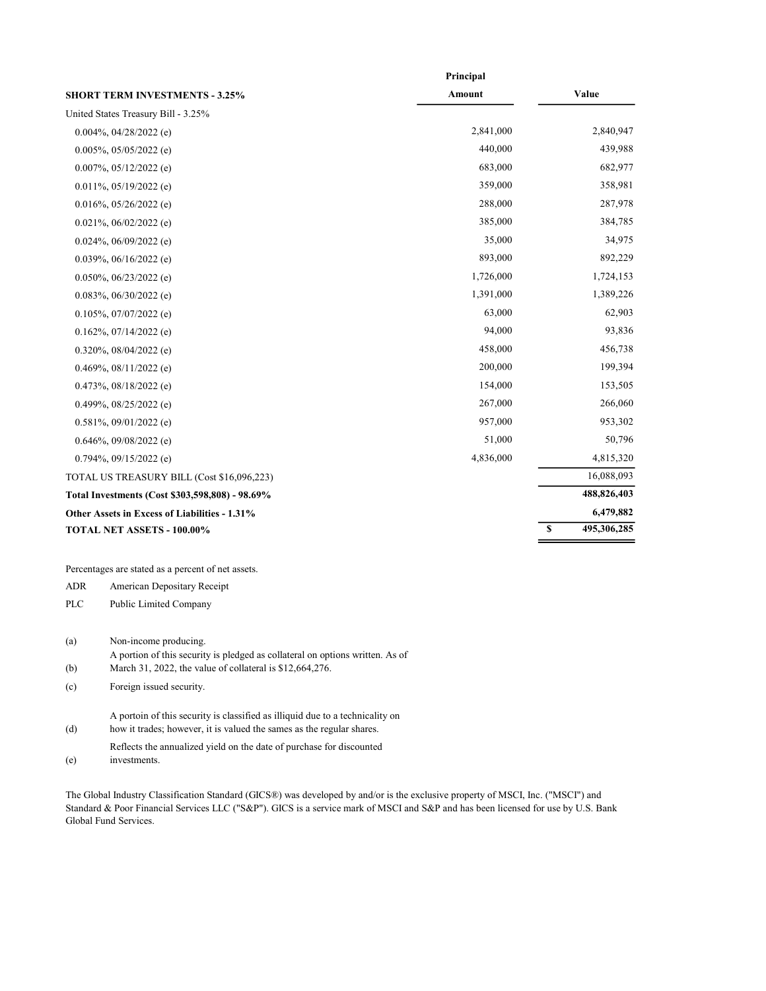|                                                 | Principal |    |             |
|-------------------------------------------------|-----------|----|-------------|
| <b>SHORT TERM INVESTMENTS - 3.25%</b>           | Amount    |    | Value       |
| United States Treasury Bill - 3.25%             |           |    |             |
| $0.004\%$ , 04/28/2022 (e)                      | 2,841,000 |    | 2,840,947   |
| $0.005\%$ , 05/05/2022 (e)                      | 440,000   |    | 439,988     |
| $0.007\%$ , $05/12/2022$ (e)                    | 683,000   |    | 682,977     |
| $0.011\%, 05/19/2022$ (e)                       | 359,000   |    | 358,981     |
| $0.016\%, 05/26/2022$ (e)                       | 288,000   |    | 287,978     |
| $0.021\%, 06/02/2022$ (e)                       | 385,000   |    | 384,785     |
| $0.024\%$ , 06/09/2022 (e)                      | 35,000    |    | 34,975      |
| $0.039\%$ , $06/16/2022$ (e)                    | 893,000   |    | 892,229     |
| $0.050\%$ , $06/23/2022$ (e)                    | 1,726,000 |    | 1,724,153   |
| $0.083\%, 06/30/2022$ (e)                       | 1,391,000 |    | 1,389,226   |
| $0.105\%$ , 07/07/2022 (e)                      | 63,000    |    | 62,903      |
| $0.162\%$ , 07/14/2022 (e)                      | 94,000    |    | 93,836      |
| $0.320\%$ , $08/04/2022$ (e)                    | 458,000   |    | 456,738     |
| $0.469\%, 08/11/2022$ (e)                       | 200,000   |    | 199,394     |
| $0.473\%, 08/18/2022$ (e)                       | 154,000   |    | 153,505     |
| 0.499%, $08/25/2022$ (e)                        | 267,000   |    | 266,060     |
| 0.581%, 09/01/2022 (e)                          | 957,000   |    | 953,302     |
| $0.646\%, 09/08/2022$ (e)                       | 51,000    |    | 50,796      |
| $0.794\%, 09/15/2022$ (e)                       | 4,836,000 |    | 4,815,320   |
| TOTAL US TREASURY BILL (Cost \$16,096,223)      |           |    | 16,088,093  |
| Total Investments (Cost \$303,598,808) - 98.69% |           |    | 488,826,403 |
| Other Assets in Excess of Liabilities - 1.31%   |           |    | 6,479,882   |
| TOTAL NET ASSETS - 100.00%                      |           | \$ | 495,306,285 |
|                                                 |           |    |             |

Percentages are stated as a percent of net assets.

ADR American Depositary Receipt

PLC Public Limited Company

(a) Non-income producing.

- A portion of this security is pledged as collateral on options written. As of
- (b) March 31, 2022, the value of collateral is \$12,664,276.

(c) Foreign issued security.

A portoin of this security is classified as illiquid due to a technicality on

- (d) how it trades; however, it is valued the sames as the regular shares.
- Reflects the annualized yield on the date of purchase for discounted

(e) investments.

The Global Industry Classification Standard (GICS®) was developed by and/or is the exclusive property of MSCI, Inc. ("MSCI") and Standard & Poor Financial Services LLC ("S&P"). GICS is a service mark of MSCI and S&P and has been licensed for use by U.S. Bank Global Fund Services.